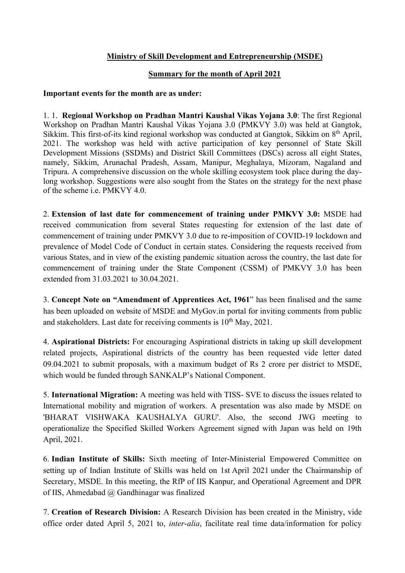## Ministry of Skill Development and Entrepreneurship (MSDE)

## Summary for the month of April 2021

## Important events for the month are as under:

1. 1. Regional Workshop on Pradhan Mantri Kaushal Vikas Yojana 3.0: The first Regional Workshop on Pradhan Mantri Kaushal Vikas Yojana 3.0 (PMKVY 3.0) was held at Gangtok, Sikkim. This first-of-its kind regional workshop was conducted at Gangtok, Sikkim on 8<sup>th</sup> April, 2021. The workshop was held with active participation of key personnel of State Skill Development Missions (SSDMs) and District Skill Committees (DSCs) across all eight States, namely, Sikkim, Arunachal Pradesh, Assam, Manipur, Meghalaya, Mizoram, Nagaland and Tripura. A comprehensive discussion on the whole skilling ecosystem took place during the daylong workshop. Suggestions were also sought from the States on the strategy for the next phase of the scheme i.e. PMKVY 4.0.

2. Extension of last date for commencement of training under PMKVY 3.0: MSDE had received communication from several States requesting for extension of the last date of commencement of training under PMKVY 3.0 due to re-imposition of COVID-19 lockdown and prevalence of Model Code of Conduct in certain states. Considering the requests received from various States, and in view of the existing pandemic situation across the country, the last date for commencement of training under the State Component (CSSM) of PMKVY 3.0 has been extended from 31.03.2021 to 30.04.2021.

3. Concept Note on "Amendment of Apprentices Act, 1961" has been finalised and the same has been uploaded on website of MSDE and MyGov.in portal for inviting comments from public and stakeholders. Last date for receiving comments is  $10^{th}$  May, 2021.

4. Aspirational Districts: For encouraging Aspirational districts in taking up skill development related projects, Aspirational districts of the country has been requested vide letter dated 09.04.2021 to submit proposals, with a maximum budget of Rs 2 crore per district to MSDE, which would be funded through SANKALP's National Component.

5. International Migration: A meeting was held with TISS- SVE to discuss the issues related to International mobility and migration of workers. A presentation was also made by MSDE on 'BHARAT VISHWAKA KAUSHALYA GURU'. Also, the second JWG meeting to operationalize the Specified Skilled Workers Agreement signed with Japan was held on 19th April, 2021.

6. Indian Institute of Skills: Sixth meeting of Inter-Ministerial Empowered Committee on setting up of Indian Institute of Skills was held on 1st April 2021 under the Chairmanship of Secretary, MSDE. In this meeting, the RfP of IIS Kanpur, and Operational Agreement and DPR of IIS, Ahmedabad  $\omega$  Gandhinagar was finalized

7. Creation of Research Division: A Research Division has been created in the Ministry, vide office order dated April 5, 2021 to, inter-alia, facilitate real time data/information for policy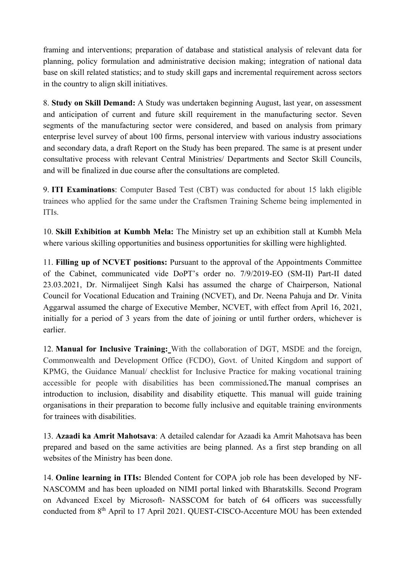framing and interventions; preparation of database and statistical analysis of relevant data for planning, policy formulation and administrative decision making; integration of national data base on skill related statistics; and to study skill gaps and incremental requirement across sectors in the country to align skill initiatives.

8. Study on Skill Demand: A Study was undertaken beginning August, last year, on assessment and anticipation of current and future skill requirement in the manufacturing sector. Seven segments of the manufacturing sector were considered, and based on analysis from primary enterprise level survey of about 100 firms, personal interview with various industry associations and secondary data, a draft Report on the Study has been prepared. The same is at present under consultative process with relevant Central Ministries/ Departments and Sector Skill Councils, and will be finalized in due course after the consultations are completed.

9. ITI Examinations: Computer Based Test (CBT) was conducted for about 15 lakh eligible trainees who applied for the same under the Craftsmen Training Scheme being implemented in ITIs.

10. Skill Exhibition at Kumbh Mela: The Ministry set up an exhibition stall at Kumbh Mela where various skilling opportunities and business opportunities for skilling were highlighted.

11. Filling up of NCVET positions: Pursuant to the approval of the Appointments Committee of the Cabinet, communicated vide DoPT's order no. 7/9/2019-EO (SM-II) Part-II dated 23.03.2021, Dr. Nirmalijeet Singh Kalsi has assumed the charge of Chairperson, National Council for Vocational Education and Training (NCVET), and Dr. Neena Pahuja and Dr. Vinita Aggarwal assumed the charge of Executive Member, NCVET, with effect from April 16, 2021, initially for a period of 3 years from the date of joining or until further orders, whichever is earlier.

12. Manual for Inclusive Training: With the collaboration of DGT, MSDE and the foreign, Commonwealth and Development Office (FCDO), Govt. of United Kingdom and support of KPMG, the Guidance Manual/ checklist for Inclusive Practice for making vocational training accessible for people with disabilities has been commissioned.The manual comprises an introduction to inclusion, disability and disability etiquette. This manual will guide training organisations in their preparation to become fully inclusive and equitable training environments for trainees with disabilities.

13. Azaadi ka Amrit Mahotsava: A detailed calendar for Azaadi ka Amrit Mahotsava has been prepared and based on the same activities are being planned. As a first step branding on all websites of the Ministry has been done.

14. Online learning in ITIs: Blended Content for COPA job role has been developed by NF-NASCOMM and has been uploaded on NIMI portal linked with Bharatskills. Second Program on Advanced Excel by Microsoft- NASSCOM for batch of 64 officers was successfully conducted from 8<sup>th</sup> April to 17 April 2021. QUEST-CISCO-Accenture MOU has been extended